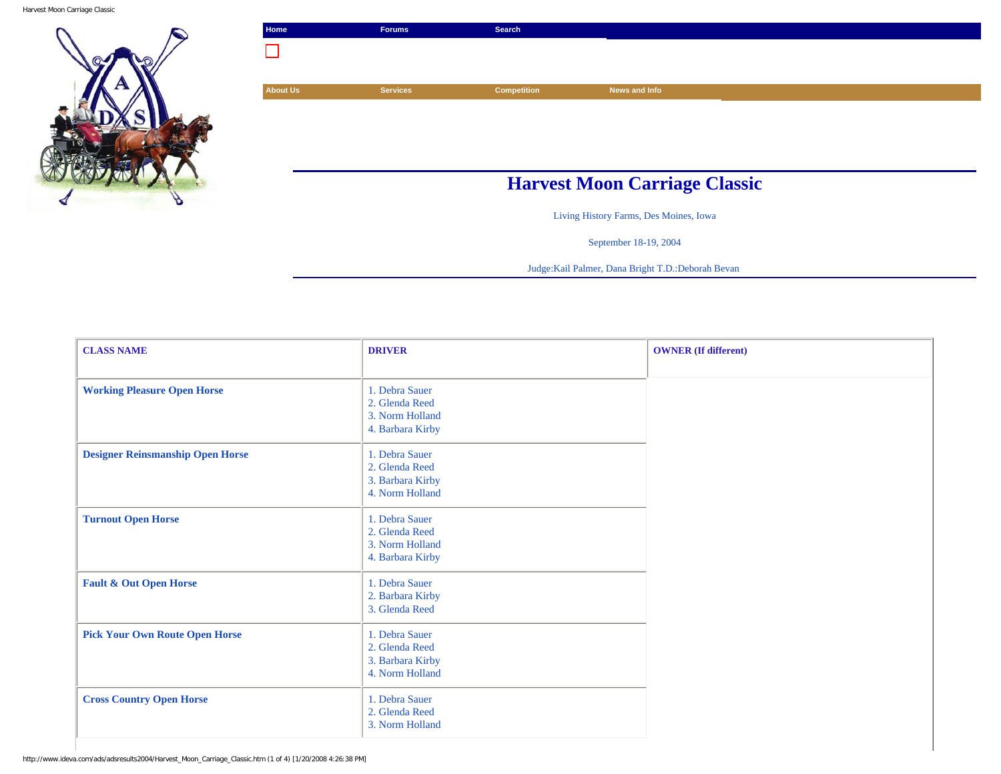Harvest Moon Carriage Classic



|                 | Search             |               |                                      |
|-----------------|--------------------|---------------|--------------------------------------|
|                 |                    |               |                                      |
|                 |                    |               |                                      |
| <b>Services</b> | <b>Competition</b> | News and Info |                                      |
|                 |                    |               |                                      |
|                 |                    |               |                                      |
|                 |                    |               |                                      |
|                 |                    |               |                                      |
|                 |                    |               |                                      |
|                 |                    |               | <b>Harvest Moon Carriage Classic</b> |

Living History Farms, Des Moines, Iowa

September 18-19, 2004

Judge:Kail Palmer, Dana Bright T.D.:Deborah Bevan

| <b>CLASS NAME</b>                       | <b>DRIVER</b>                                                           | <b>OWNER</b> (If different) |
|-----------------------------------------|-------------------------------------------------------------------------|-----------------------------|
| <b>Working Pleasure Open Horse</b>      | 1. Debra Sauer<br>2. Glenda Reed<br>3. Norm Holland<br>4. Barbara Kirby |                             |
| <b>Designer Reinsmanship Open Horse</b> | 1. Debra Sauer<br>2. Glenda Reed<br>3. Barbara Kirby<br>4. Norm Holland |                             |
| <b>Turnout Open Horse</b>               | 1. Debra Sauer<br>2. Glenda Reed<br>3. Norm Holland<br>4. Barbara Kirby |                             |
| <b>Fault &amp; Out Open Horse</b>       | 1. Debra Sauer<br>2. Barbara Kirby<br>3. Glenda Reed                    |                             |
| <b>Pick Your Own Route Open Horse</b>   | 1. Debra Sauer<br>2. Glenda Reed<br>3. Barbara Kirby<br>4. Norm Holland |                             |
| <b>Cross Country Open Horse</b>         | 1. Debra Sauer<br>2. Glenda Reed<br>3. Norm Holland                     |                             |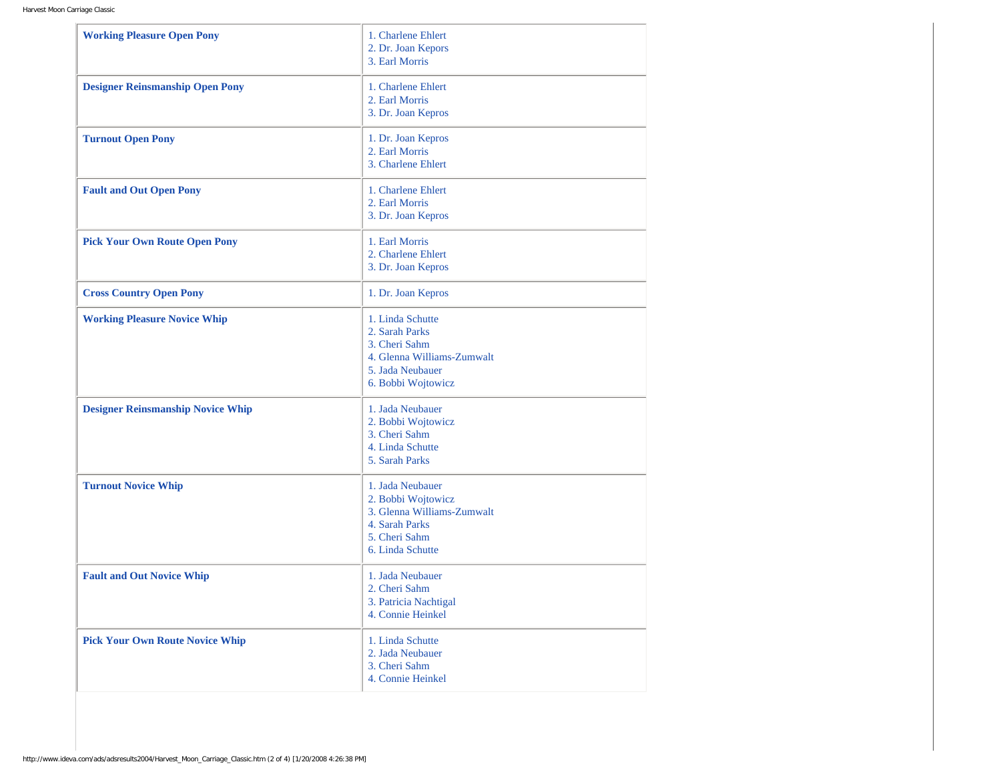| <b>Working Pleasure Open Pony</b>        | 1. Charlene Ehlert<br>2. Dr. Joan Kepors<br>3. Earl Morris                                                                  |
|------------------------------------------|-----------------------------------------------------------------------------------------------------------------------------|
| <b>Designer Reinsmanship Open Pony</b>   | 1. Charlene Ehlert<br>2. Earl Morris<br>3. Dr. Joan Kepros                                                                  |
| <b>Turnout Open Pony</b>                 | 1. Dr. Joan Kepros<br>2. Earl Morris<br>3. Charlene Ehlert                                                                  |
| <b>Fault and Out Open Pony</b>           | 1. Charlene Ehlert<br>2. Earl Morris<br>3. Dr. Joan Kepros                                                                  |
| <b>Pick Your Own Route Open Pony</b>     | 1. Earl Morris<br>2. Charlene Ehlert<br>3. Dr. Joan Kepros                                                                  |
| <b>Cross Country Open Pony</b>           | 1. Dr. Joan Kepros                                                                                                          |
| <b>Working Pleasure Novice Whip</b>      | 1. Linda Schutte<br>2. Sarah Parks<br>3. Cheri Sahm<br>4. Glenna Williams-Zumwalt<br>5. Jada Neubauer<br>6. Bobbi Wojtowicz |
| <b>Designer Reinsmanship Novice Whip</b> | 1. Jada Neubauer<br>2. Bobbi Wojtowicz<br>3. Cheri Sahm<br>4. Linda Schutte<br>5. Sarah Parks                               |
| <b>Turnout Novice Whip</b>               | 1. Jada Neubauer<br>2. Bobbi Wojtowicz<br>3. Glenna Williams-Zumwalt<br>4. Sarah Parks<br>5. Cheri Sahm<br>6. Linda Schutte |
| <b>Fault and Out Novice Whip</b>         | 1. Jada Neubauer<br>2. Cheri Sahm<br>3. Patricia Nachtigal<br>4. Connie Heinkel                                             |
| <b>Pick Your Own Route Novice Whip</b>   | 1. Linda Schutte<br>2. Jada Neubauer<br>3. Cheri Sahm<br>4. Connie Heinkel                                                  |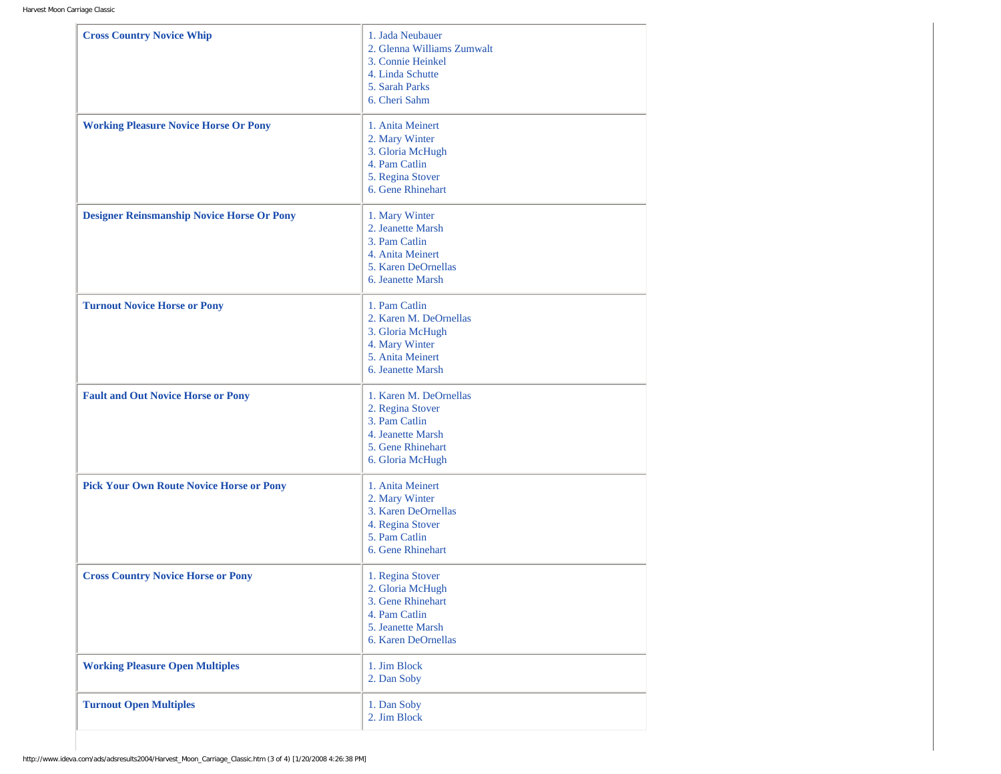| 1. Jada Neubauer<br>2. Glenna Williams Zumwalt<br>3. Connie Heinkel<br>4. Linda Schutte<br>5. Sarah Parks<br>6. Cheri Sahm |
|----------------------------------------------------------------------------------------------------------------------------|
| 1. Anita Meinert<br>2. Mary Winter<br>3. Gloria McHugh<br>4. Pam Catlin<br>5. Regina Stover<br>6. Gene Rhinehart           |
| 1. Mary Winter<br>2. Jeanette Marsh<br>3. Pam Catlin<br>4. Anita Meinert<br>5. Karen DeOrnellas<br>6. Jeanette Marsh       |
| 1. Pam Catlin<br>2. Karen M. DeOrnellas<br>3. Gloria McHugh<br>4. Mary Winter<br>5. Anita Meinert<br>6. Jeanette Marsh     |
| 1. Karen M. DeOrnellas<br>2. Regina Stover<br>3. Pam Catlin<br>4. Jeanette Marsh<br>5. Gene Rhinehart<br>6. Gloria McHugh  |
| 1. Anita Meinert<br>2. Mary Winter<br>3. Karen DeOrnellas<br>4. Regina Stover<br>5. Pam Catlin<br>6. Gene Rhinehart        |
| 1. Regina Stover<br>2. Gloria McHugh<br>3. Gene Rhinehart<br>4. Pam Catlin<br>5. Jeanette Marsh<br>6. Karen DeOrnellas     |
| 1. Jim Block<br>2. Dan Soby                                                                                                |
| 1. Dan Soby                                                                                                                |
|                                                                                                                            |